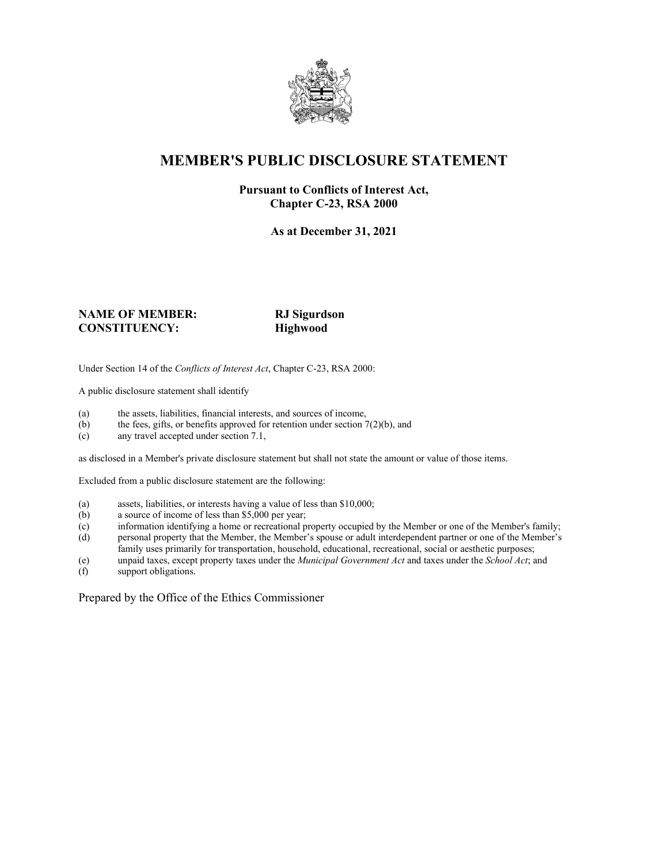

## **MEMBER'S PUBLIC DISCLOSURE STATEMENT**

#### **Pursuant to Conflicts of Interest Act, Chapter C-23, RSA 2000**

**As at December 31, 2021**

#### **NAME OF MEMBER: RJ Sigurdson CONSTITUENCY: Highwood**

Under Section 14 of the *Conflicts of Interest Act*, Chapter C-23, RSA 2000:

A public disclosure statement shall identify

- (a) the assets, liabilities, financial interests, and sources of income,  $(b)$  the fees, gifts, or benefits approved for retention under section 7
- the fees, gifts, or benefits approved for retention under section  $7(2)(b)$ , and
- (c) any travel accepted under section 7.1,

as disclosed in a Member's private disclosure statement but shall not state the amount or value of those items.

Excluded from a public disclosure statement are the following:

- (a) assets, liabilities, or interests having a value of less than \$10,000;<br>(b) a source of income of less than \$5,000 per year;
- a source of income of less than  $$5,000$  per year;
- (c) information identifying a home or recreational property occupied by the Member or one of the Member's family;
- (d) personal property that the Member, the Member's spouse or adult interdependent partner or one of the Member's family uses primarily for transportation, household, educational, recreational, social or aesthetic purposes;
- (e) unpaid taxes, except property taxes under the *Municipal Government Act* and taxes under the *School Act*; and
- (f) support obligations.

Prepared by the Office of the Ethics Commissioner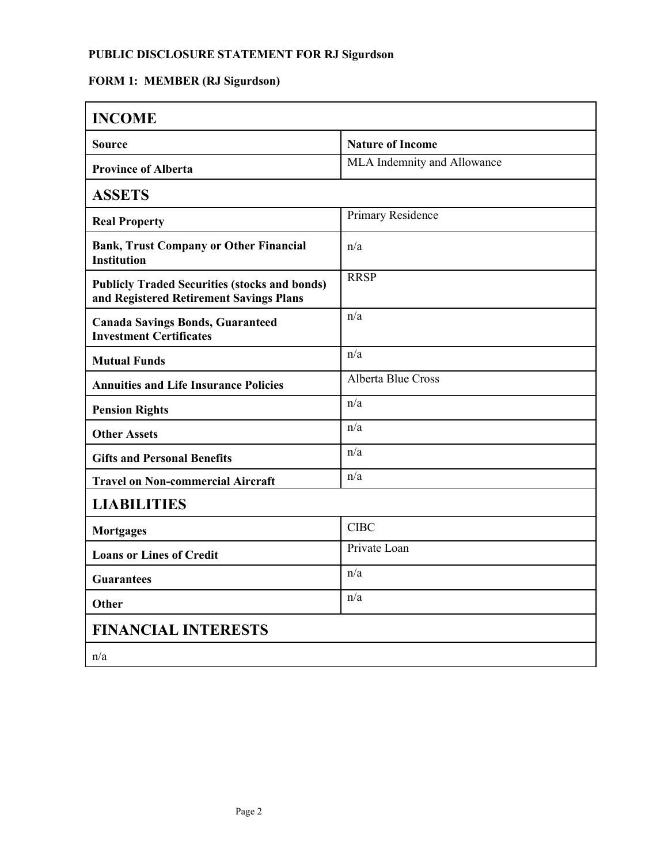### **PUBLIC DISCLOSURE STATEMENT FOR RJ Sigurdson**

# **FORM 1: MEMBER (RJ Sigurdson)**

| <b>INCOME</b>                                                                                   |                             |
|-------------------------------------------------------------------------------------------------|-----------------------------|
| <b>Source</b>                                                                                   | <b>Nature of Income</b>     |
| <b>Province of Alberta</b>                                                                      | MLA Indemnity and Allowance |
| <b>ASSETS</b>                                                                                   |                             |
| <b>Real Property</b>                                                                            | Primary Residence           |
| <b>Bank, Trust Company or Other Financial</b><br><b>Institution</b>                             | n/a                         |
| <b>Publicly Traded Securities (stocks and bonds)</b><br>and Registered Retirement Savings Plans | <b>RRSP</b>                 |
| <b>Canada Savings Bonds, Guaranteed</b><br><b>Investment Certificates</b>                       | n/a                         |
| <b>Mutual Funds</b>                                                                             | n/a                         |
| <b>Annuities and Life Insurance Policies</b>                                                    | <b>Alberta Blue Cross</b>   |
| <b>Pension Rights</b>                                                                           | n/a                         |
| <b>Other Assets</b>                                                                             | n/a                         |
| <b>Gifts and Personal Benefits</b>                                                              | n/a                         |
| <b>Travel on Non-commercial Aircraft</b>                                                        | n/a                         |
| <b>LIABILITIES</b>                                                                              |                             |
| <b>Mortgages</b>                                                                                | <b>CIBC</b>                 |
| <b>Loans or Lines of Credit</b>                                                                 | Private Loan                |
| <b>Guarantees</b>                                                                               | n/a                         |
| Other                                                                                           | n/a                         |
| <b>FINANCIAL INTERESTS</b>                                                                      |                             |
| n/a                                                                                             |                             |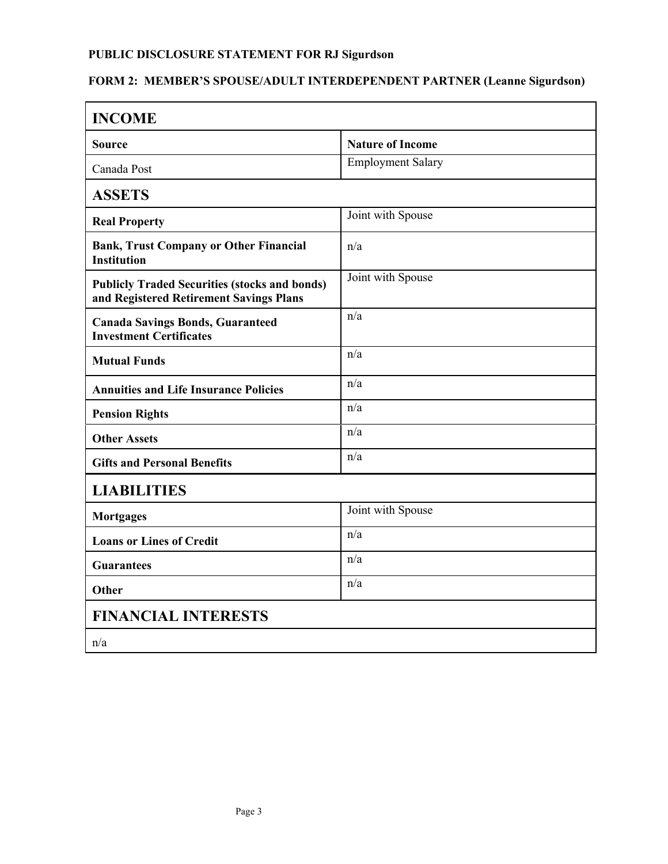### **PUBLIC DISCLOSURE STATEMENT FOR RJ Sigurdson**

# **FORM 2: MEMBER'S SPOUSE/ADULT INTERDEPENDENT PARTNER (Leanne Sigurdson)**

| <b>INCOME</b>                                                                                   |                          |  |
|-------------------------------------------------------------------------------------------------|--------------------------|--|
| <b>Source</b>                                                                                   | <b>Nature of Income</b>  |  |
| Canada Post                                                                                     | <b>Employment Salary</b> |  |
| <b>ASSETS</b>                                                                                   |                          |  |
| <b>Real Property</b>                                                                            | Joint with Spouse        |  |
| <b>Bank, Trust Company or Other Financial</b><br><b>Institution</b>                             | n/a                      |  |
| <b>Publicly Traded Securities (stocks and bonds)</b><br>and Registered Retirement Savings Plans | Joint with Spouse        |  |
| <b>Canada Savings Bonds, Guaranteed</b><br><b>Investment Certificates</b>                       | n/a                      |  |
| <b>Mutual Funds</b>                                                                             | n/a                      |  |
| <b>Annuities and Life Insurance Policies</b>                                                    | n/a                      |  |
| <b>Pension Rights</b>                                                                           | n/a                      |  |
| <b>Other Assets</b>                                                                             | n/a                      |  |
| <b>Gifts and Personal Benefits</b>                                                              | n/a                      |  |
| <b>LIABILITIES</b>                                                                              |                          |  |
| <b>Mortgages</b>                                                                                | Joint with Spouse        |  |
| <b>Loans or Lines of Credit</b>                                                                 | n/a                      |  |
| <b>Guarantees</b>                                                                               | n/a                      |  |
| Other                                                                                           | n/a                      |  |
| <b>FINANCIAL INTERESTS</b>                                                                      |                          |  |
| n/a                                                                                             |                          |  |